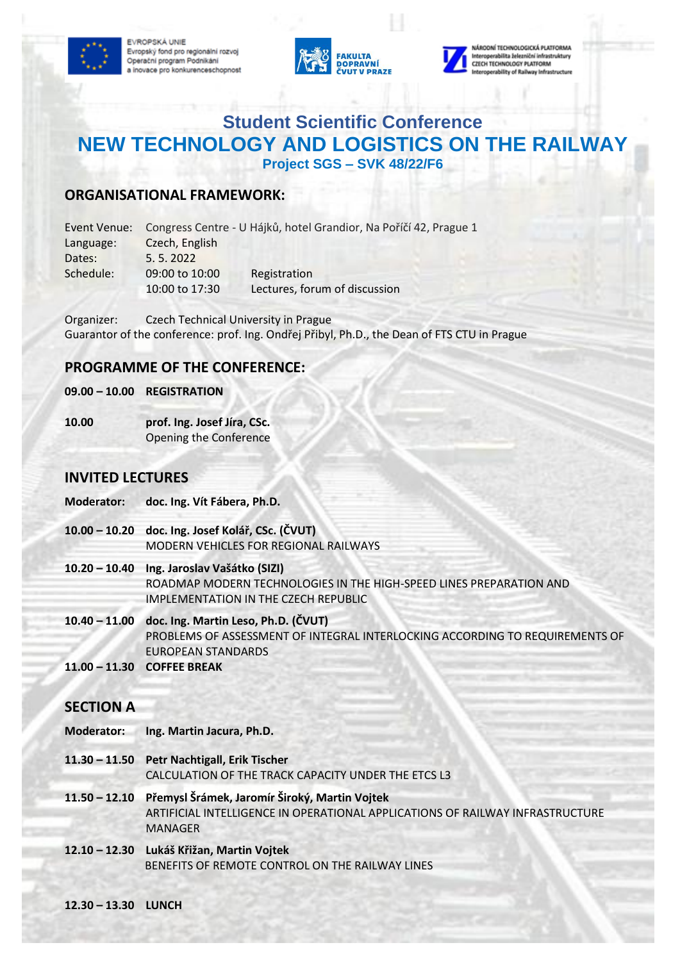EVROPSKÁ UNIE Evropský fond pro regionální rozvoj Operační program Podnikání a inovace pro konkurenceschopnost





serabilita šelezniční infrastruktury **CZECH TECHNOLOGY PLATFORM** rability of Railway Infrastr

# **Student Scientific Conference NEW TECHNOLOGY AND LOGISTICS ON THE RAILWAY Project SGS – SVK 48/22/F6**

### **ORGANISATIONAL FRAMEWORK:**

| Event Venue: | Congress Centre - U Hájků, hotel Grandior, Na Poříčí 42, Prague 1 |                               |
|--------------|-------------------------------------------------------------------|-------------------------------|
| Language:    | Czech, English                                                    |                               |
| Dates:       | 5.5.2022                                                          |                               |
| Schedule:    | 09:00 to 10:00                                                    | Registration                  |
|              | 10:00 to 17:30                                                    | Lectures, forum of discussion |

Organizer: Czech Technical University in Prague Guarantor of the conference: prof. Ing. Ondřej Přibyl, Ph.D., the Dean of FTS CTU in Prague

#### **PROGRAMME OF THE CONFERENCE:**

#### **09.00 – 10.00 REGISTRATION**

**10.00 prof. Ing. Josef Jíra, CSc.** Opening the Conference

#### **INVITED LECTURES**

- **Moderator: doc. Ing. Vít Fábera, Ph.D.**
- **10.00 – 10.20 doc. Ing. Josef Kolář, CSc. (ČVUT)**  MODERN VEHICLES FOR REGIONAL RAILWAYS
- **10.20 – 10.40 Ing. Jaroslav Vašátko (SIZI)**  ROADMAP MODERN TECHNOLOGIES IN THE HIGH-SPEED LINES PREPARATION AND IMPLEMENTATION IN THE CZECH REPUBLIC
- **10.40 – 11.00 doc. Ing. Martin Leso, Ph.D. (ČVUT)** PROBLEMS OF ASSESSMENT OF INTEGRAL INTERLOCKING ACCORDING TO REQUIREMENTS OF EUROPEAN STANDARDS
- **11.00 – 11.30 COFFEE BREAK**

#### **SECTION A**

- **Moderator: Ing. Martin Jacura, Ph.D.**
- **11.30 – 11.50 Petr Nachtigall, Erik Tischer** CALCULATION OF THE TRACK CAPACITY UNDER THE ETCS L3
- **11.50 – 12.10 Přemysl Šrámek, Jaromír Široký, Martin Vojtek**  ARTIFICIAL INTELLIGENCE IN OPERATIONAL APPLICATIONS OF RAILWAY INFRASTRUCTURE MANAGER
- **12.10 – 12.30 Lukáš Křižan, Martin Vojtek** BENEFITS OF REMOTE CONTROL ON THE RAILWAY LINES
- **12.30 – 13.30 LUNCH**